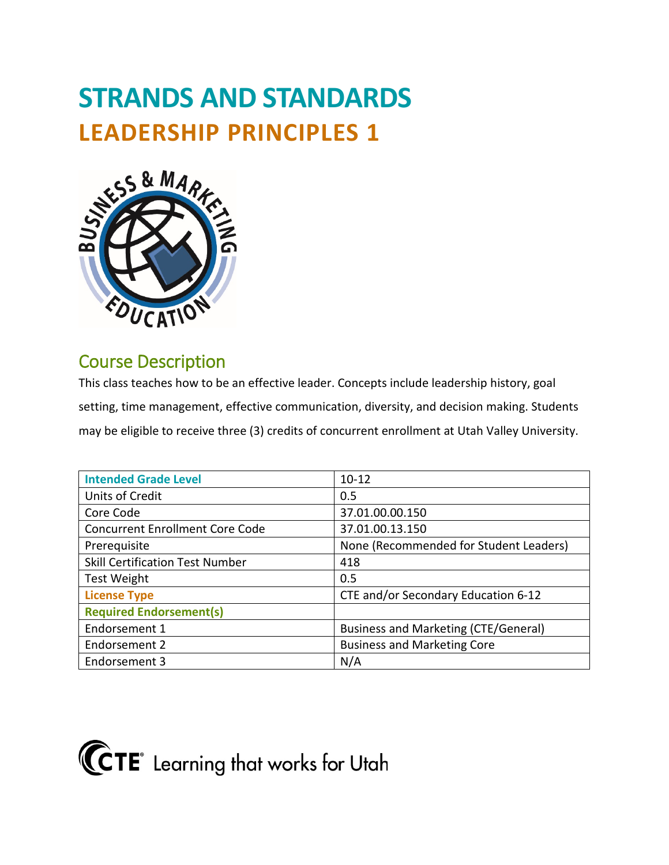# **STRANDS AND STANDARDS LEADERSHIP PRINCIPLES 1**



## Course Description

This class teaches how to be an effective leader. Concepts include leadership history, goal setting, time management, effective communication, diversity, and decision making. Students may be eligible to receive three (3) credits of concurrent enrollment at Utah Valley University.

| <b>Intended Grade Level</b>            | $10 - 12$                              |
|----------------------------------------|----------------------------------------|
| Units of Credit                        | 0.5                                    |
| Core Code                              | 37.01.00.00.150                        |
| <b>Concurrent Enrollment Core Code</b> | 37.01.00.13.150                        |
| Prerequisite                           | None (Recommended for Student Leaders) |
| <b>Skill Certification Test Number</b> | 418                                    |
| <b>Test Weight</b>                     | 0.5                                    |
| <b>License Type</b>                    | CTE and/or Secondary Education 6-12    |
| <b>Required Endorsement(s)</b>         |                                        |
| Endorsement 1                          | Business and Marketing (CTE/General)   |
| Endorsement 2                          | <b>Business and Marketing Core</b>     |
| Endorsement 3                          | N/A                                    |

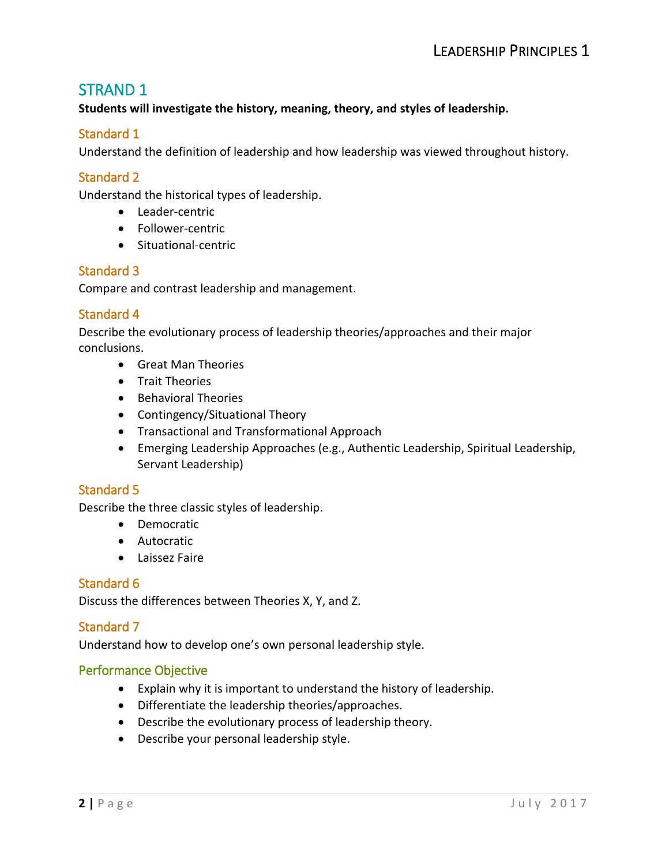## STRAND 1

**Students will investigate the history, meaning, theory, and styles of leadership.**

#### Standard 1

Understand the definition of leadership and how leadership was viewed throughout history.

#### Standard 2

Understand the historical types of leadership.

- Leader-centric
- Follower-centric
- Situational-centric

#### Standard 3

Compare and contrast leadership and management.

#### Standard 4

Describe the evolutionary process of leadership theories/approaches and their major conclusions.

- Great Man Theories
- Trait Theories
- Behavioral Theories
- Contingency/Situational Theory
- Transactional and Transformational Approach
- Emerging Leadership Approaches (e.g., Authentic Leadership, Spiritual Leadership, Servant Leadership)

#### Standard 5

Describe the three classic styles of leadership.

- Democratic
- Autocratic
- Laissez Faire

#### Standard 6

Discuss the differences between Theories X, Y, and Z.

#### Standard 7

Understand how to develop one's own personal leadership style.

#### Performance Objective

- Explain why it is important to understand the history of leadership.
- Differentiate the leadership theories/approaches.
- Describe the evolutionary process of leadership theory.
- Describe your personal leadership style.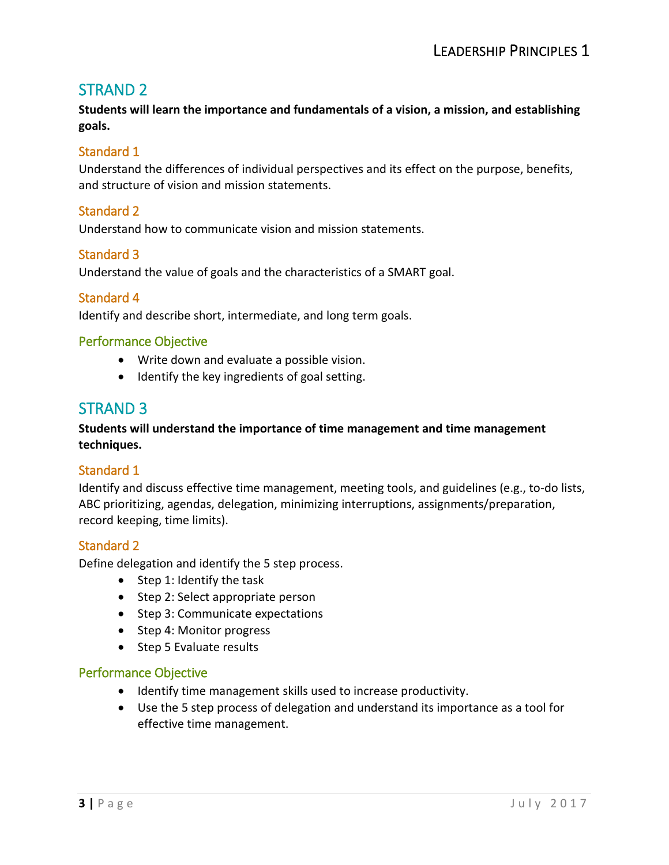## STRAND 2

**Students will learn the importance and fundamentals of a vision, a mission, and establishing goals.**

#### Standard 1

Understand the differences of individual perspectives and its effect on the purpose, benefits, and structure of vision and mission statements.

#### Standard 2

Understand how to communicate vision and mission statements.

#### Standard 3

Understand the value of goals and the characteristics of a SMART goal.

#### Standard 4

Identify and describe short, intermediate, and long term goals.

#### Performance Objective

- Write down and evaluate a possible vision.
- Identify the key ingredients of goal setting.

### STRAND 3

#### **Students will understand the importance of time management and time management techniques.**

#### Standard 1

Identify and discuss effective time management, meeting tools, and guidelines (e.g., to-do lists, ABC prioritizing, agendas, delegation, minimizing interruptions, assignments/preparation, record keeping, time limits).

#### Standard 2

Define delegation and identify the 5 step process.

- Step 1: Identify the task
- Step 2: Select appropriate person
- Step 3: Communicate expectations
- Step 4: Monitor progress
- Step 5 Evaluate results

#### Performance Objective

- Identify time management skills used to increase productivity.
- Use the 5 step process of delegation and understand its importance as a tool for effective time management.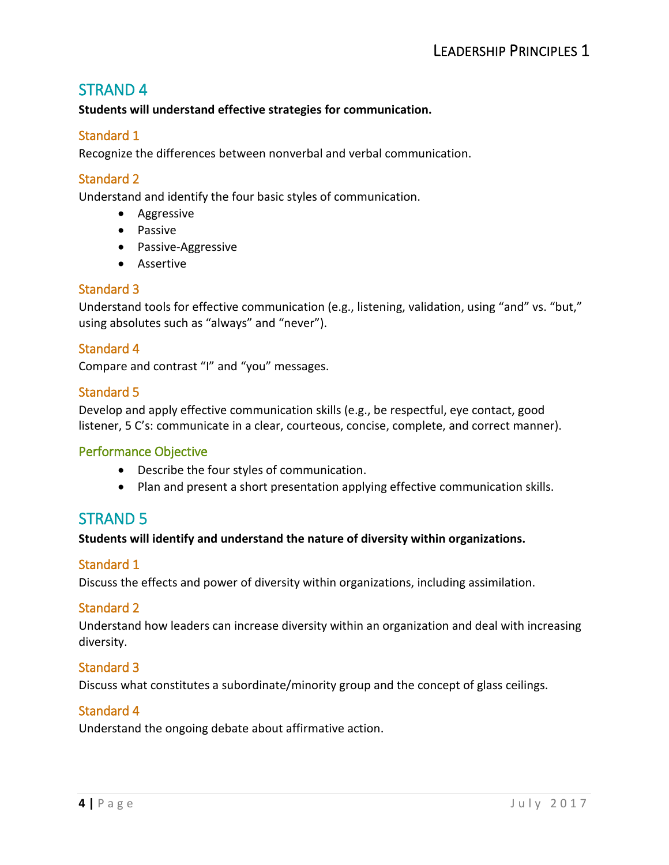## STRAND 4

#### **Students will understand effective strategies for communication.**

#### Standard 1

Recognize the differences between nonverbal and verbal communication.

#### Standard 2

Understand and identify the four basic styles of communication.

- Aggressive
- Passive
- Passive-Aggressive
- Assertive

#### Standard 3

Understand tools for effective communication (e.g., listening, validation, using "and" vs. "but," using absolutes such as "always" and "never").

#### Standard 4

Compare and contrast "I" and "you" messages.

#### Standard 5

Develop and apply effective communication skills (e.g., be respectful, eye contact, good listener, 5 C's: communicate in a clear, courteous, concise, complete, and correct manner).

#### Performance Objective

- Describe the four styles of communication.
- Plan and present a short presentation applying effective communication skills.

## STRAND 5

#### **Students will identify and understand the nature of diversity within organizations.**

#### Standard 1

Discuss the effects and power of diversity within organizations, including assimilation.

#### Standard 2

Understand how leaders can increase diversity within an organization and deal with increasing diversity.

#### Standard 3

Discuss what constitutes a subordinate/minority group and the concept of glass ceilings.

#### Standard 4

Understand the ongoing debate about affirmative action.